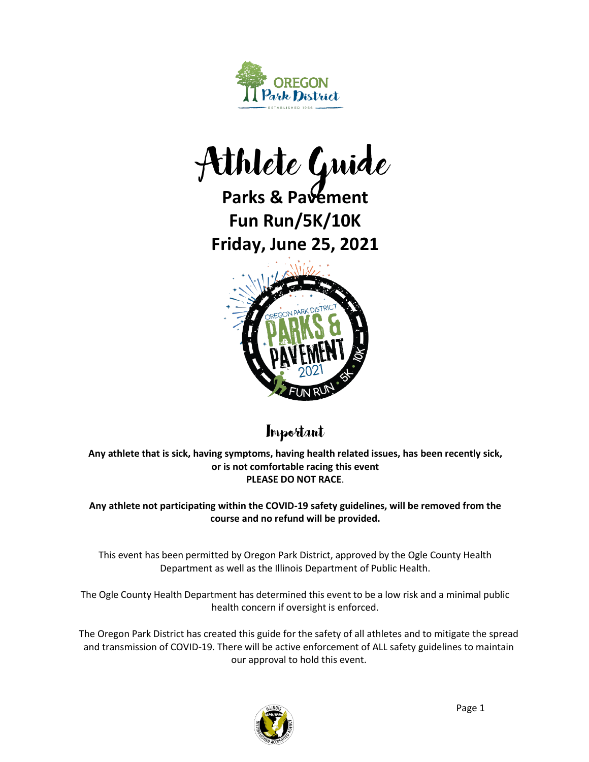

Athlete Guide

**Parks & Pavement Fun Run/5K/10K Friday, June 25, 2021**



**Important** 

**Any athlete that is sick, having symptoms, having health related issues, has been recently sick, or is not comfortable racing this event PLEASE DO NOT RACE**.

**Any athlete not participating within the COVID-19 safety guidelines, will be removed from the course and no refund will be provided.**

This event has been permitted by Oregon Park District, approved by the Ogle County Health Department as well as the Illinois Department of Public Health.

The Ogle County Health Department has determined this event to be a low risk and a minimal public health concern if oversight is enforced.

The Oregon Park District has created this guide for the safety of all athletes and to mitigate the spread and transmission of COVID-19. There will be active enforcement of ALL safety guidelines to maintain our approval to hold this event.

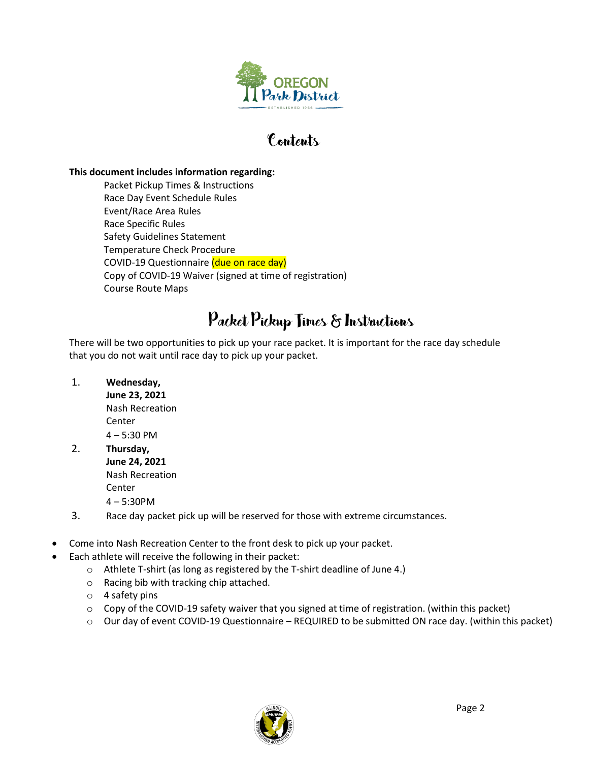

### Contents

#### **This document includes information regarding:**

Packet Pickup Times & Instructions Race Day Event Schedule Rules Event/Race Area Rules Race Specific Rules Safety Guidelines Statement Temperature Check Procedure COVID-19 Questionnaire (due on race day) Copy of COVID-19 Waiver (signed at time of registration) Course Route Maps

### Packet Pickup Times & Instructions

There will be two opportunities to pick up your race packet. It is important for the race day schedule that you do not wait until race day to pick up your packet.

#### 1. **Wednesday,**

**June 23, 2021** Nash Recreation Center 4 – 5:30 PM

- 2. **Thursday, June 24, 2021** Nash Recreation Center 4 – 5:30PM
- 3. Race day packet pick up will be reserved for those with extreme circumstances.
- Come into Nash Recreation Center to the front desk to pick up your packet.
- Each athlete will receive the following in their packet:
	- o Athlete T-shirt (as long as registered by the T-shirt deadline of June 4.)
	- o Racing bib with tracking chip attached.
	- o 4 safety pins
	- $\circ$  Copy of the COVID-19 safety waiver that you signed at time of registration. (within this packet)
	- o Our day of event COVID-19 Questionnaire REQUIRED to be submitted ON race day. (within this packet)

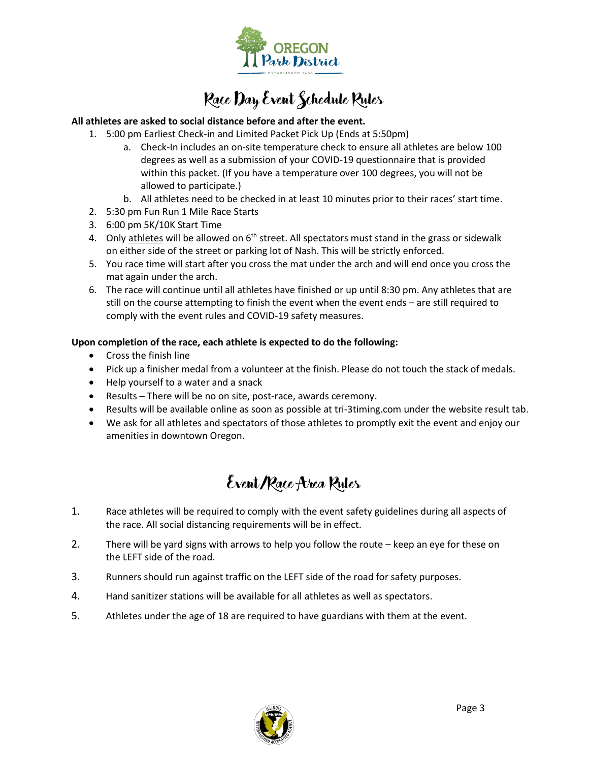

# Race Day Event Schedule Rules

#### **All athletes are asked to social distance before and after the event.**

- 1. 5:00 pm Earliest Check-in and Limited Packet Pick Up (Ends at 5:50pm)
	- a. Check-In includes an on-site temperature check to ensure all athletes are below 100 degrees as well as a submission of your COVID-19 questionnaire that is provided within this packet. (If you have a temperature over 100 degrees, you will not be allowed to participate.)
	- b. All athletes need to be checked in at least 10 minutes prior to their races' start time.
- 2. 5:30 pm Fun Run 1 Mile Race Starts
- 3. 6:00 pm 5K/10K Start Time
- 4. Only athletes will be allowed on  $6<sup>th</sup>$  street. All spectators must stand in the grass or sidewalk on either side of the street or parking lot of Nash. This will be strictly enforced.
- 5. You race time will start after you cross the mat under the arch and will end once you cross the mat again under the arch.
- 6. The race will continue until all athletes have finished or up until 8:30 pm. Any athletes that are still on the course attempting to finish the event when the event ends – are still required to comply with the event rules and COVID-19 safety measures.

#### **Upon completion of the race, each athlete is expected to do the following:**

- Cross the finish line
- Pick up a finisher medal from a volunteer at the finish. Please do not touch the stack of medals.
- Help yourself to a water and a snack
- Results There will be no on site, post-race, awards ceremony.
- Results will be available online as soon as possible at tri-3timing.com under the website result tab.
- We ask for all athletes and spectators of those athletes to promptly exit the event and enjoy our amenities in downtown Oregon.

### Event/Race Area Rules

- 1. Race athletes will be required to comply with the event safety guidelines during all aspects of the race. All social distancing requirements will be in effect.
- 2. There will be yard signs with arrows to help you follow the route keep an eye for these on the LEFT side of the road.
- 3. Runners should run against traffic on the LEFT side of the road for safety purposes.
- 4. Hand sanitizer stations will be available for all athletes as well as spectators.
- 5. Athletes under the age of 18 are required to have guardians with them at the event.

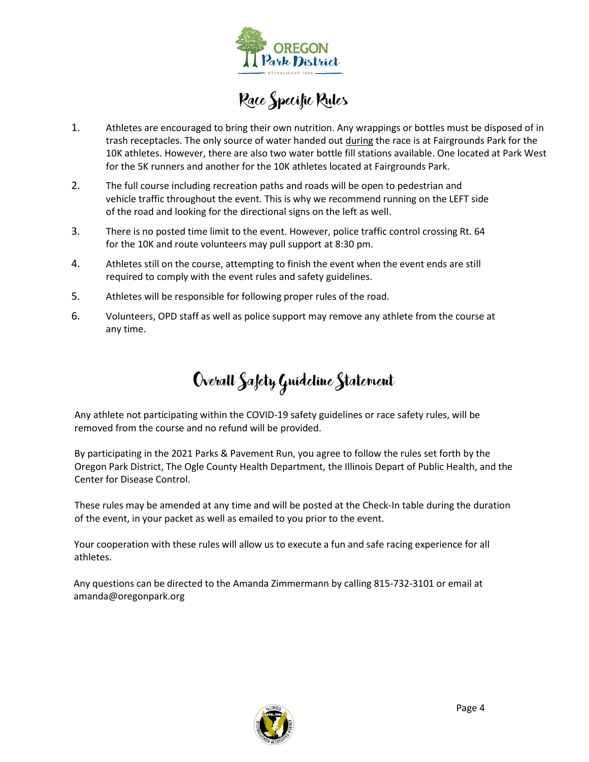

# Race Specific Rules

- 1. Athletes are encouraged to bring their own nutrition. Any wrappings or bottles must be disposed of in trash receptacles. The only source of water handed out during the race is at Fairgrounds Park for the 10K athletes. However, there are also two water bottle fill stations available. One located at Park West for the 5K runners and another for the 10K athletes located at Fairgrounds Park.
- 2. The full course including recreation paths and roads will be open to pedestrian and vehicle traffic throughout the event. This is why we recommend running on the LEFT side of the road and looking for the directional signs on the left as well.
- 3. There is no posted time limit to the event. However, police traffic control crossing Rt. 64 for the 10K and route volunteers may pull support at 8:30 pm.
- 4. Athletes still on the course, attempting to finish the event when the event ends are still required to comply with the event rules and safety guidelines.
- 5. Athletes will be responsible for following proper rules of the road.
- 6. Volunteers, OPD staff as well as police support may remove any athlete from the course at any time.

# Overall Safety Guideline Statement

Any athlete not participating within the COVID-19 safety guidelines or race safety rules, will be removed from the course and no refund will be provided.

By participating in the 2021 Parks & Pavement Run, you agree to follow the rules set forth by the Oregon Park District, The Ogle County Health Department, the Illinois Depart of Public Health, and the Center for Disease Control.

These rules may be amended at any time and will be posted at the Check-In table during the duration of the event, in your packet as well as emailed to you prior to the event.

Your cooperation with these rules will allow us to execute a fun and safe racing experience for all athletes.

Any questions can be directed to the Amanda Zimmermann by calling 815-732-3101 or email at amanda@oregonpark.org

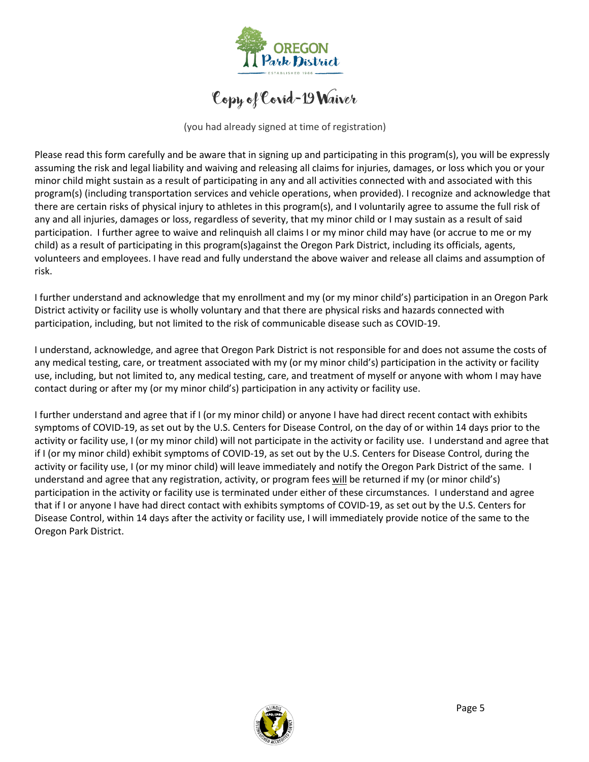

Copy of Covid-19 Waiver

(you had already signed at time of registration)

Please read this form carefully and be aware that in signing up and participating in this program(s), you will be expressly assuming the risk and legal liability and waiving and releasing all claims for injuries, damages, or loss which you or your minor child might sustain as a result of participating in any and all activities connected with and associated with this program(s) (including transportation services and vehicle operations, when provided). I recognize and acknowledge that there are certain risks of physical injury to athletes in this program(s), and I voluntarily agree to assume the full risk of any and all injuries, damages or loss, regardless of severity, that my minor child or I may sustain as a result of said participation. I further agree to waive and relinquish all claims I or my minor child may have (or accrue to me or my child) as a result of participating in this program(s)against the Oregon Park District, including its officials, agents, volunteers and employees. I have read and fully understand the above waiver and release all claims and assumption of risk.

I further understand and acknowledge that my enrollment and my (or my minor child's) participation in an Oregon Park District activity or facility use is wholly voluntary and that there are physical risks and hazards connected with participation, including, but not limited to the risk of communicable disease such as COVID-19.

I understand, acknowledge, and agree that Oregon Park District is not responsible for and does not assume the costs of any medical testing, care, or treatment associated with my (or my minor child's) participation in the activity or facility use, including, but not limited to, any medical testing, care, and treatment of myself or anyone with whom I may have contact during or after my (or my minor child's) participation in any activity or facility use.

I further understand and agree that if I (or my minor child) or anyone I have had direct recent contact with exhibits symptoms of COVID-19, as set out by the U.S. Centers for Disease Control, on the day of or within 14 days prior to the activity or facility use, I (or my minor child) will not participate in the activity or facility use. I understand and agree that if I (or my minor child) exhibit symptoms of COVID-19, as set out by the U.S. Centers for Disease Control, during the activity or facility use, I (or my minor child) will leave immediately and notify the Oregon Park District of the same. I understand and agree that any registration, activity, or program fees will be returned if my (or minor child's) participation in the activity or facility use is terminated under either of these circumstances. I understand and agree that if I or anyone I have had direct contact with exhibits symptoms of COVID-19, as set out by the U.S. Centers for Disease Control, within 14 days after the activity or facility use, I will immediately provide notice of the same to the Oregon Park District.

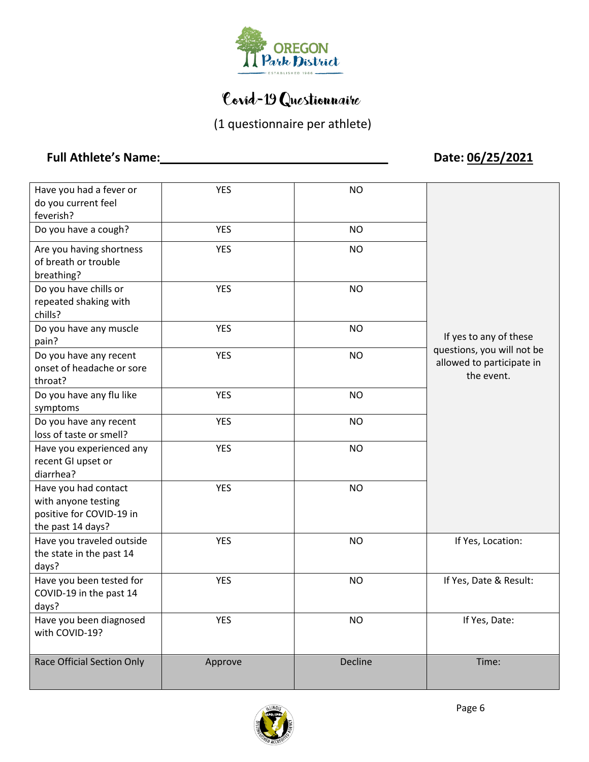

## Covid-19 Questionnaire

(1 questionnaire per athlete)

### **Full Athlete's Name:\_\_\_\_\_\_\_\_\_\_\_\_\_\_\_\_\_\_\_\_\_\_\_\_\_\_\_\_\_\_\_\_\_\_ Date: 06/25/2021**

| Have you had a fever or<br>do you current feel<br>feverish?                                  | <b>YES</b> | <b>NO</b> |                                                                       |
|----------------------------------------------------------------------------------------------|------------|-----------|-----------------------------------------------------------------------|
| Do you have a cough?                                                                         | <b>YES</b> | <b>NO</b> |                                                                       |
| Are you having shortness<br>of breath or trouble<br>breathing?                               | <b>YES</b> | <b>NO</b> |                                                                       |
| Do you have chills or<br>repeated shaking with<br>chills?                                    | <b>YES</b> | <b>NO</b> |                                                                       |
| Do you have any muscle<br>pain?                                                              | <b>YES</b> | <b>NO</b> | If yes to any of these                                                |
| Do you have any recent<br>onset of headache or sore<br>throat?                               | <b>YES</b> | <b>NO</b> | questions, you will not be<br>allowed to participate in<br>the event. |
| Do you have any flu like<br>symptoms                                                         | <b>YES</b> | <b>NO</b> |                                                                       |
| Do you have any recent<br>loss of taste or smell?                                            | <b>YES</b> | <b>NO</b> |                                                                       |
| Have you experienced any<br>recent GI upset or<br>diarrhea?                                  | <b>YES</b> | <b>NO</b> |                                                                       |
| Have you had contact<br>with anyone testing<br>positive for COVID-19 in<br>the past 14 days? | <b>YES</b> | <b>NO</b> |                                                                       |
| Have you traveled outside<br>the state in the past 14<br>days?                               | <b>YES</b> | <b>NO</b> | If Yes, Location:                                                     |
| Have you been tested for<br>COVID-19 in the past 14<br>days?                                 | <b>YES</b> | <b>NO</b> | If Yes, Date & Result:                                                |
| Have you been diagnosed<br>with COVID-19?                                                    | <b>YES</b> | <b>NO</b> | If Yes, Date:                                                         |
| <b>Race Official Section Only</b>                                                            | Approve    | Decline   | Time:                                                                 |

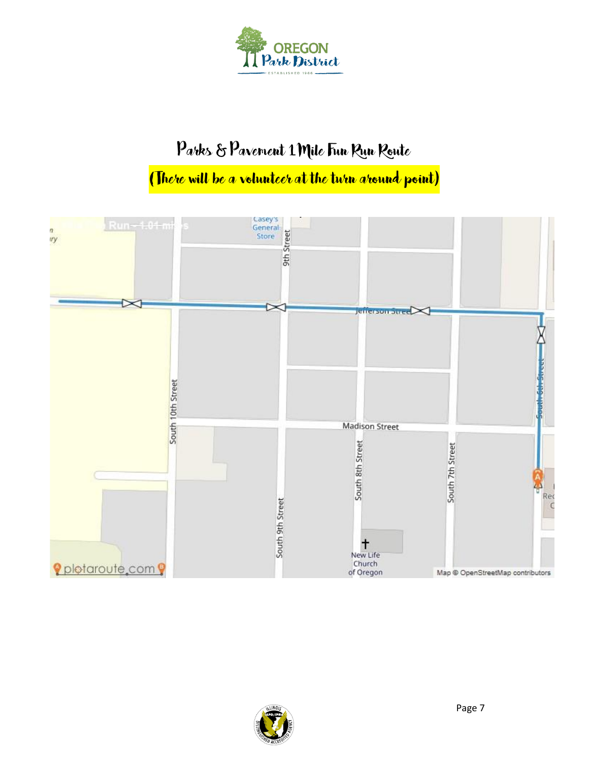

## Parks & Pavement 1 Mile Fun Run Route

# (There will be a volunteer at the turn around point)



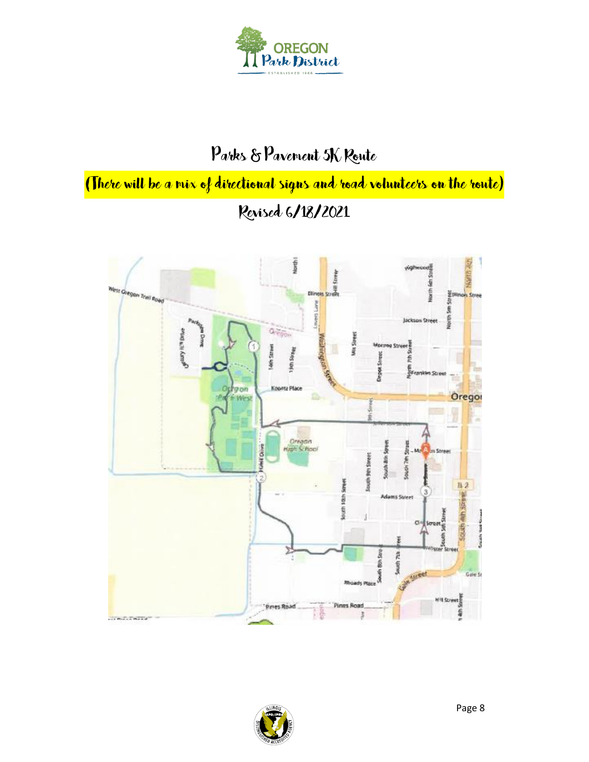

# Parks & Pavement 5K Route

(There will be a mix of directional signs and road volunteers on the route) Revised 6/18/2021